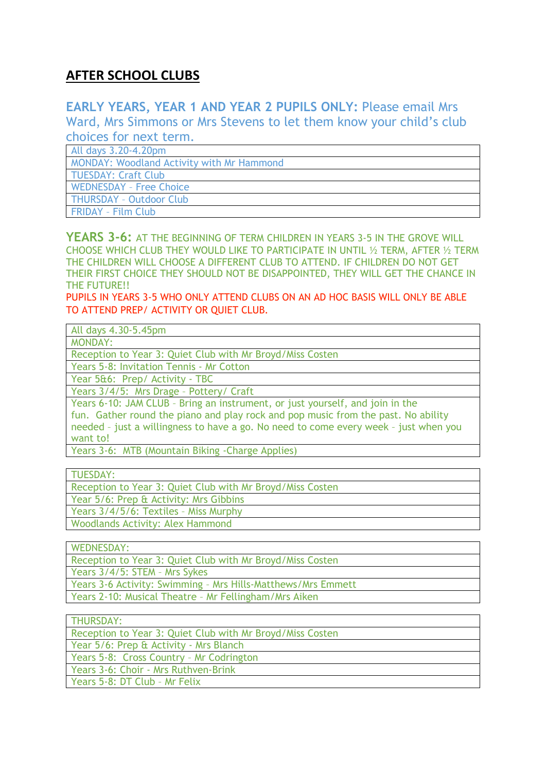## **AFTER SCHOOL CLUBS**

## **EARLY YEARS, YEAR 1 AND YEAR 2 PUPILS ONLY:** Please email Mrs Ward, Mrs Simmons or Mrs Stevens to let them know your child's club

choices for next term.

All days 3.20-4.20pm

MONDAY: Woodland Activity with Mr Hammond

TUESDAY: Craft Club

WEDNESDAY – Free Choice

THURSDAY – Outdoor Club

FRIDAY – Film Club

**YEARS 3-6:** AT THE BEGINNING OF TERM CHILDREN IN YEARS 3-5 IN THE GROVE WILL CHOOSE WHICH CLUB THEY WOULD LIKE TO PARTICIPATE IN UNTIL ½ TERM, AFTER ½ TERM THE CHILDREN WILL CHOOSE A DIFFERENT CLUB TO ATTEND. IF CHILDREN DO NOT GET THEIR FIRST CHOICE THEY SHOULD NOT BE DISAPPOINTED, THEY WILL GET THE CHANCE IN THE FUTURE!!

PUPILS IN YEARS 3-5 WHO ONLY ATTEND CLUBS ON AN AD HOC BASIS WILL ONLY BE ABLE TO ATTEND PREP/ ACTIVITY OR QUIET CLUB.

All days 4.30-5.45pm

MONDAY:

Reception to Year 3: Quiet Club with Mr Broyd/Miss Costen

Years 5-8: Invitation Tennis - Mr Cotton

Year 5&6: Prep/ Activity - TBC

Years 3/4/5: Mrs Drage – Pottery/ Craft

Years 6-10: JAM CLUB – Bring an instrument, or just yourself, and join in the fun. Gather round the piano and play rock and pop music from the past. No ability needed – just a willingness to have a go. No need to come every week – just when you want to!

Years 3-6: MTB (Mountain Biking -Charge Applies)

TUESDAY:

Reception to Year 3: Quiet Club with Mr Broyd/Miss Costen

Year 5/6: Prep & Activity: Mrs Gibbins

Years 3/4/5/6: Textiles – Miss Murphy

Woodlands Activity: Alex Hammond

WEDNESDAY:

Reception to Year 3: Quiet Club with Mr Broyd/Miss Costen

Years 3/4/5: STEM – Mrs Sykes

Years 3-6 Activity: Swimming – Mrs Hills-Matthews/Mrs Emmett Years 2-10: Musical Theatre – Mr Fellingham/Mrs Aiken

THURSDAY:

Reception to Year 3: Quiet Club with Mr Broyd/Miss Costen

Year 5/6: Prep & Activity - Mrs Blanch

Years 5-8: Cross Country – Mr Codrington

Years 3-6: Choir - Mrs Ruthven-Brink

Years 5-8: DT Club – Mr Felix